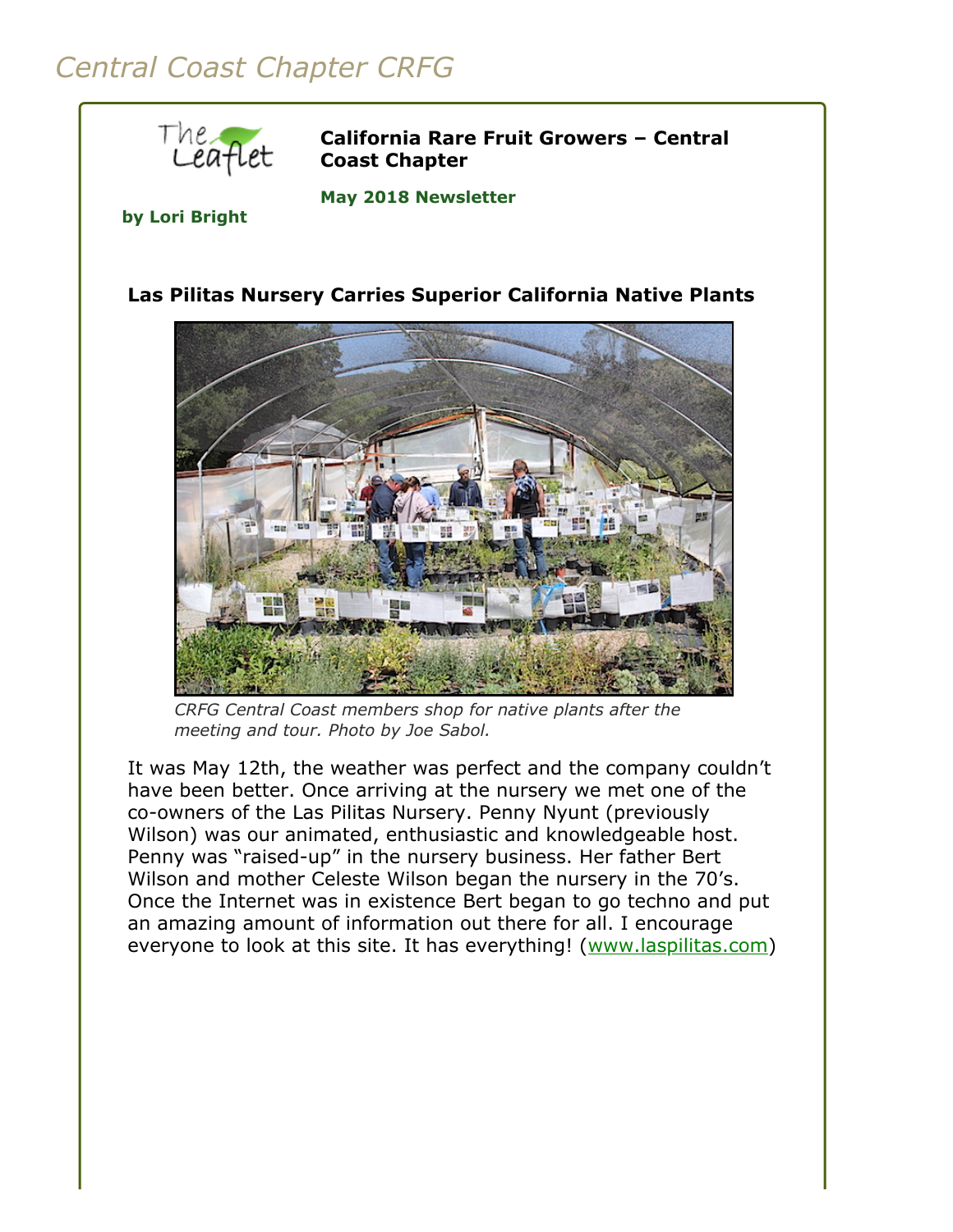# *Central Coast Chapter CRFG*



**California Rare Fruit Growers – Central Coast Chapter**

**May 2018 Newsletter** 

#### **by Lori Bright**

#### **Las Pilitas Nursery Carries Superior California Native Plants**



*CRFG Central Coast members shop for native plants after the meeting and tour. Photo by Joe Sabol.*

It was May 12th, the weather was perfect and the company couldn't have been better. Once arriving at the nursery we met one of the co-owners of the Las Pilitas Nursery. Penny Nyunt (previously Wilson) was our animated, enthusiastic and knowledgeable host. Penny was "raised-up" in the nursery business. Her father Bert Wilson and mother Celeste Wilson began the nursery in the 70's. Once the Internet was in existence Bert began to go techno and put an amazing amount of information out there for all. I encourage everyone to look at this site. It has everything! ([www.laspilitas.com](https://www.laspilitas.com/))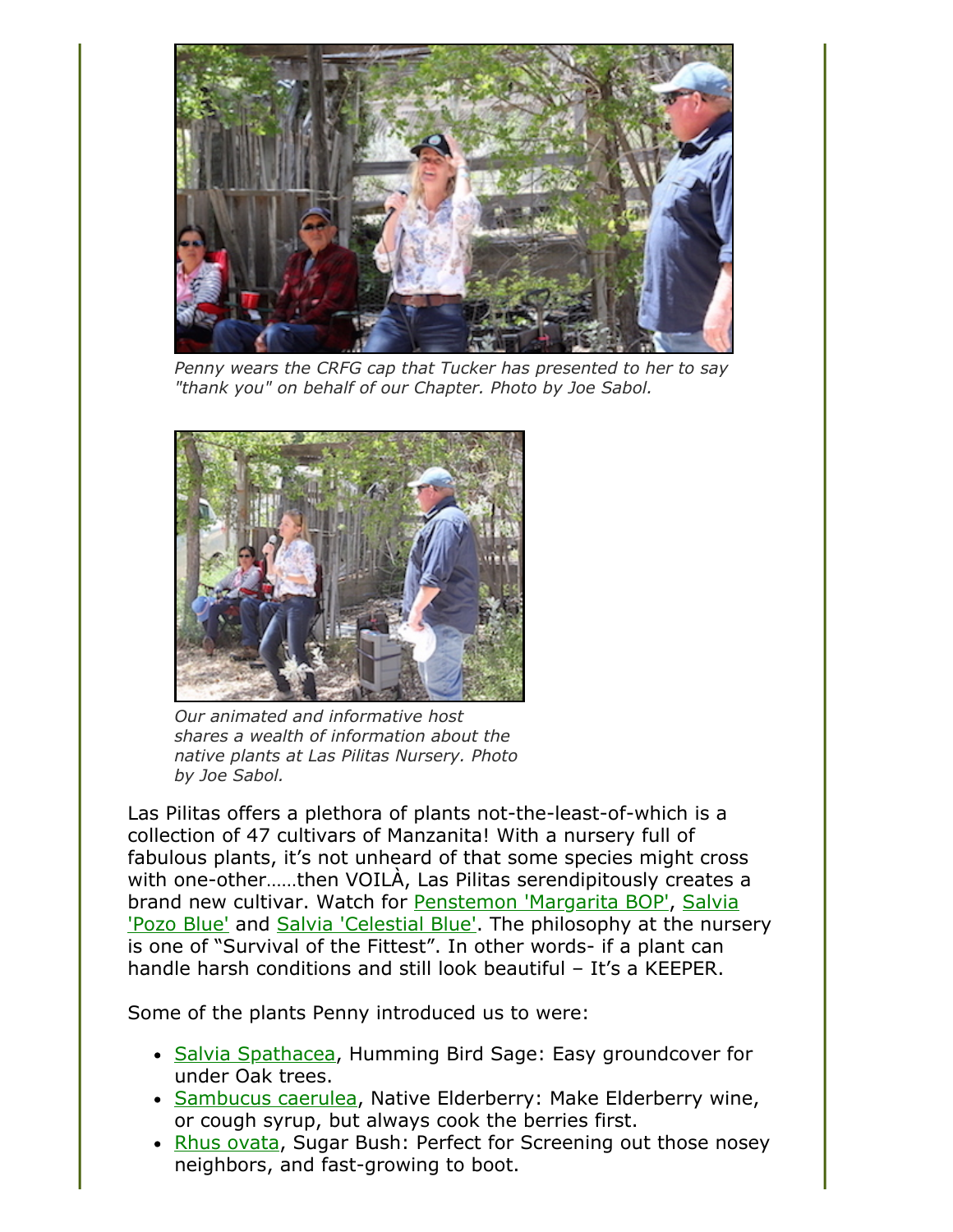

*Penny wears the CRFG cap that Tucker has presented to her to say "thank you" on behalf of our Chapter. Photo by Joe Sabol.*



*Our animated and informative host shares a wealth of information about the native plants at Las Pilitas Nursery. Photo by Joe Sabol.*

Las Pilitas offers a plethora of plants not-the-least-of-which is a collection of 47 cultivars of Manzanita! With a nursery full of fabulous plants, it's not unheard of that some species might cross with one-other……then VOILÀ, Las Pilitas serendipitously creates a [brand new cultivar. Watch for P](https://www.laspilitas.com/nature-of-california/plants/607--salvia-pozo-blue)[enstemon 'Margarita BOP'](https://www.laspilitas.com/nature-of-california/plants/471--penstemon-margarita-bop)[, Salvia](https://www.laspilitas.com/nature-of-california/plants/607--salvia-pozo-blue) 'Pozo Blue' and [Salvia 'Celestial Blue'](https://www.laspilitas.com/nature-of-california/plants/744--salvia-celestial-blue). The philosophy at the nursery is one of "Survival of the Fittest". In other words- if a plant can handle harsh conditions and still look beautiful – It's a KEEPER.

Some of the plants Penny introduced us to were:

- [Salvia Spathacea,](https://www.laspilitas.com/nature-of-california/plants/617--salvia-spathacea) Humming Bird Sage: Easy groundcover for under Oak trees.
- [Sambucus caerulea,](https://www.laspilitas.com/nature-of-california/plants/619--sambucus-caerulea) Native Elderberry: Make Elderberry wine, or cough syrup, but always cook the berries first.
- [Rhus ovata,](https://www.laspilitas.com/nature-of-california/plants/572--rhus-ovata) Sugar Bush: Perfect for Screening out those nosey neighbors, and fast-growing to boot.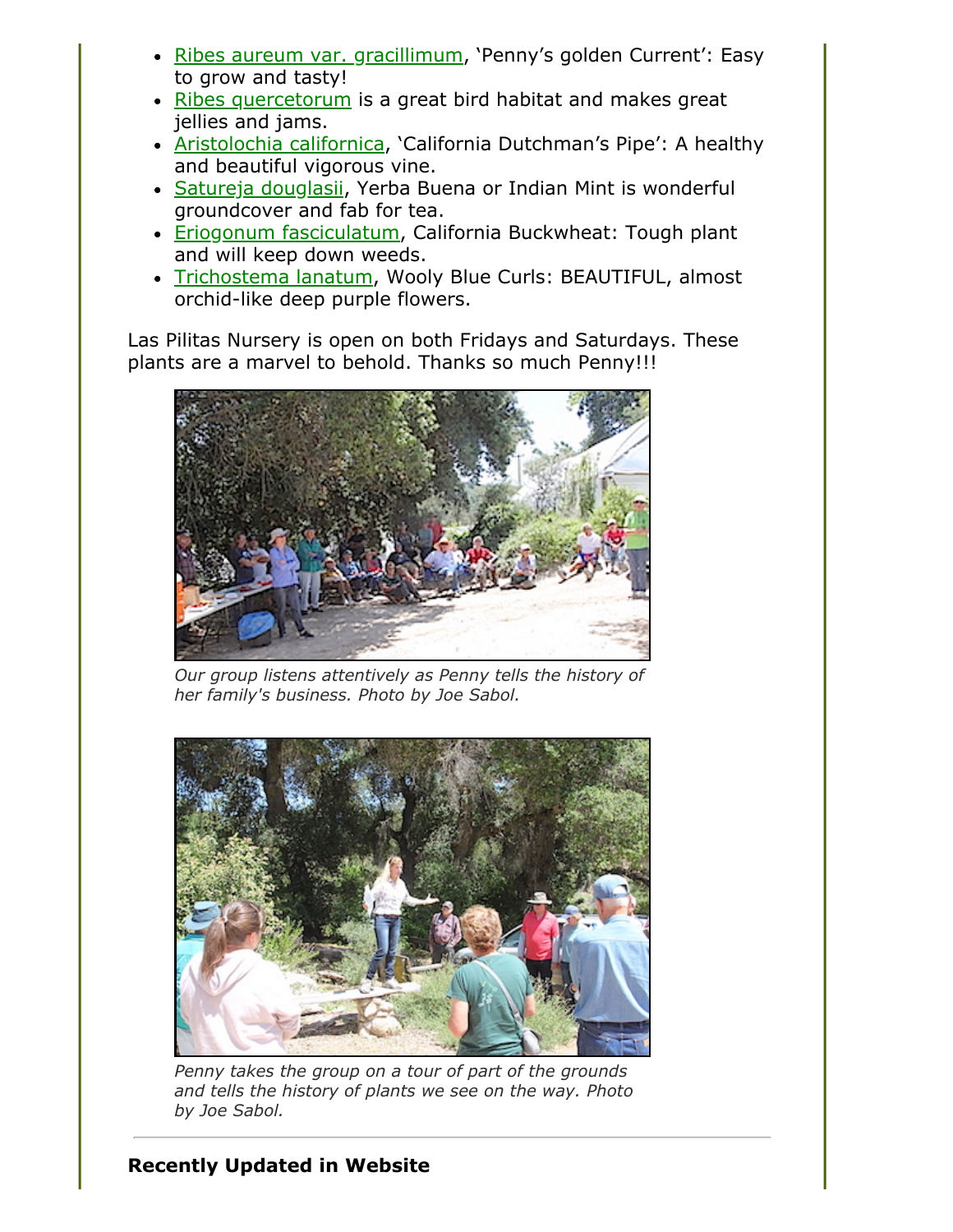- [Ribes aureum var. gracillimum](https://www.laspilitas.com/nature-of-california/plants/3503--ribes-aureum-gracillimum-golden-penny), 'Penny's golden Current': Easy to grow and tasty!
- [Ribes quercetorum](https://www.laspilitas.com/nature-of-california/plants/583--ribes-quercetorum) is a great bird habitat and makes great jellies and jams.
- [Aristolochia californica](https://www.laspilitas.com/nature-of-california/plants/90--aristolochia-californica), 'California Dutchman's Pipe': A healthy and beautiful vigorous vine.
- [Satureja douglasii,](https://www.laspilitas.com/nature-of-california/plants/622--satureja-douglasii) Yerba Buena or Indian Mint is wonderful groundcover and fab for tea.
- [Eriogonum fasciculatum,](https://www.laspilitas.com/nature-of-california/plants/284--eriogonum-fasciculatum-polifolium) California Buckwheat: Tough plant and will keep down weeds.
- [Trichostema lanatum,](https://www.laspilitas.com/nature-of-california/plants/680--trichostema-lanatum) Wooly Blue Curls: BEAUTIFUL, almost orchid-like deep purple flowers.

Las Pilitas Nursery is open on both Fridays and Saturdays. These plants are a marvel to behold. Thanks so much Penny!!!



*Our group listens attentively as Penny tells the history of her family's business. Photo by Joe Sabol.*



*Penny takes the group on a tour of part of the grounds and tells the history of plants we see on the way. Photo by Joe Sabol.*

## **Recently Updated in Website**